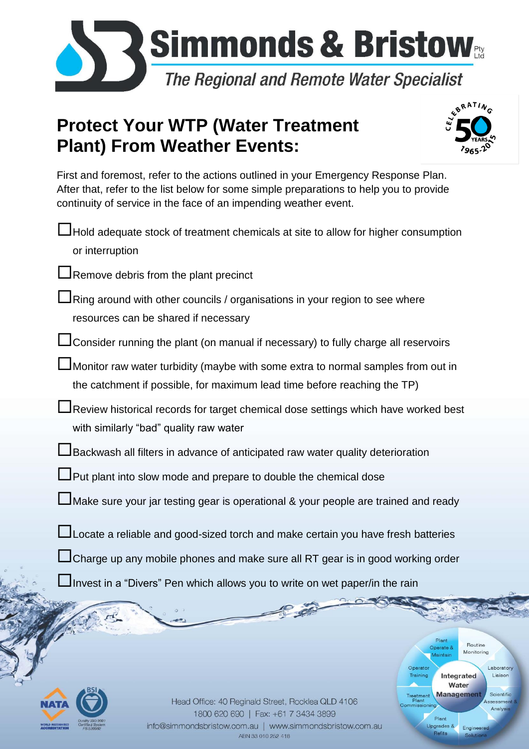

## **Protect Your WTP (Water Treatment Plant) From Weather Events:**



Plant

Operate &

Upgrades &

**Refits** 

Operato Training laintair

Integrated

Water

Routine

Monitoring

Engineer

Laborator

Liaison

Scientifi

First and foremost, refer to the actions outlined in your Emergency Response Plan. After that, refer to the list below for some simple preparations to help you to provide continuity of service in the face of an impending weather event.

Hold adequate stock of treatment chemicals at site to allow for higher consumption or interruption

**Remove debris from the plant precinct** 

Ring around with other councils / organisations in your region to see where resources can be shared if necessary

LJ Consider running the plant (on manual if necessary) to fully charge all reservoirs

Monitor raw water turbidity (maybe with some extra to normal samples from out in the catchment if possible, for maximum lead time before reaching the TP)

Review historical records for target chemical dose settings which have worked best with similarly "bad" quality raw water

Backwash all filters in advance of anticipated raw water quality deterioration

**L** Put plant into slow mode and prepare to double the chemical dose

Make sure your jar testing gear is operational & your people are trained and ready

LJ Locate a reliable and good-sized torch and make certain you have fresh batteries

LI Charge up any mobile phones and make sure all RT gear is in good working order

**P** 

Invest in a "Divers" Pen which allows you to write on wet paper/in the rain



Treatment Manager Simmonds Client & Bristow Page 10 Date) Page 10 Date 2015 2016 10:00 Page 10:00 Page 10:00 Page 10:00 Page 10:00 Page 10:00 Page 10:00 Page 10:00 Page 10:00 Page 10:00 Page 10:00 Page 10:00 Page 10:00 Pag J:\03 B1.0 Position Business\5 Marketing\Tools Provided For Sales (Client Managers send to Clients)\Preparing for a Weather 1800 620 690 | Fax: +61 7 3434 3899 info@simmondsbristow.com.au | www.simmondsbristow.com.au ABN 33 010 252 418